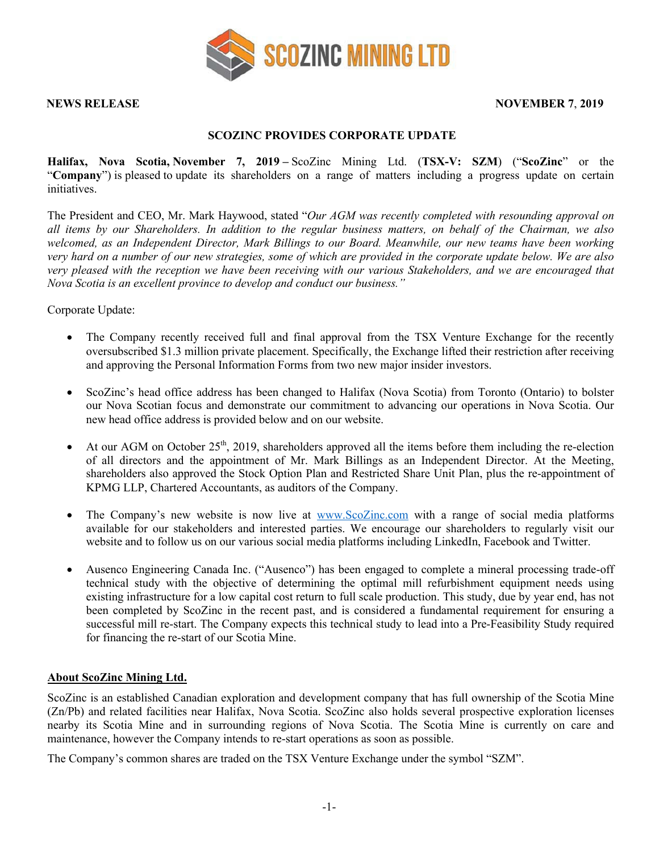

## **NEWS RELEASE NOVEMBER 7**, **2019**

## **SCOZINC PROVIDES CORPORATE UPDATE**

**Halifax, Nova Scotia, November 7, 2019 –** ScoZinc Mining Ltd. (**TSX-V: SZM**) ("**ScoZinc**" or the "**Company**") is pleased to update its shareholders on a range of matters including a progress update on certain initiatives.

The President and CEO, Mr. Mark Haywood, stated "*Our AGM was recently completed with resounding approval on all items by our Shareholders. In addition to the regular business matters, on behalf of the Chairman, we also welcomed, as an Independent Director, Mark Billings to our Board. Meanwhile, our new teams have been working very hard on a number of our new strategies, some of which are provided in the corporate update below. We are also very pleased with the reception we have been receiving with our various Stakeholders, and we are encouraged that Nova Scotia is an excellent province to develop and conduct our business."*

Corporate Update:

- The Company recently received full and final approval from the TSX Venture Exchange for the recently oversubscribed \$1.3 million private placement. Specifically, the Exchange lifted their restriction after receiving and approving the Personal Information Forms from two new major insider investors.
- ScoZinc's head office address has been changed to Halifax (Nova Scotia) from Toronto (Ontario) to bolster our Nova Scotian focus and demonstrate our commitment to advancing our operations in Nova Scotia. Our new head office address is provided below and on our website.
- At our AGM on October  $25<sup>th</sup>$ , 2019, shareholders approved all the items before them including the re-election of all directors and the appointment of Mr. Mark Billings as an Independent Director. At the Meeting, shareholders also approved the Stock Option Plan and Restricted Share Unit Plan, plus the re-appointment of KPMG LLP, Chartered Accountants, as auditors of the Company.
- The Company's new website is now live at www.ScoZinc.com with a range of social media platforms available for our stakeholders and interested parties. We encourage our shareholders to regularly visit our website and to follow us on our various social media platforms including LinkedIn, Facebook and Twitter.
- Ausenco Engineering Canada Inc. ("Ausenco") has been engaged to complete a mineral processing trade-off technical study with the objective of determining the optimal mill refurbishment equipment needs using existing infrastructure for a low capital cost return to full scale production. This study, due by year end, has not been completed by ScoZinc in the recent past, and is considered a fundamental requirement for ensuring a successful mill re-start. The Company expects this technical study to lead into a Pre-Feasibility Study required for financing the re-start of our Scotia Mine.

## **About ScoZinc Mining Ltd.**

ScoZinc is an established Canadian exploration and development company that has full ownership of the Scotia Mine (Zn/Pb) and related facilities near Halifax, Nova Scotia. ScoZinc also holds several prospective exploration licenses nearby its Scotia Mine and in surrounding regions of Nova Scotia. The Scotia Mine is currently on care and maintenance, however the Company intends to re-start operations as soon as possible.

The Company's common shares are traded on the TSX Venture Exchange under the symbol "SZM".